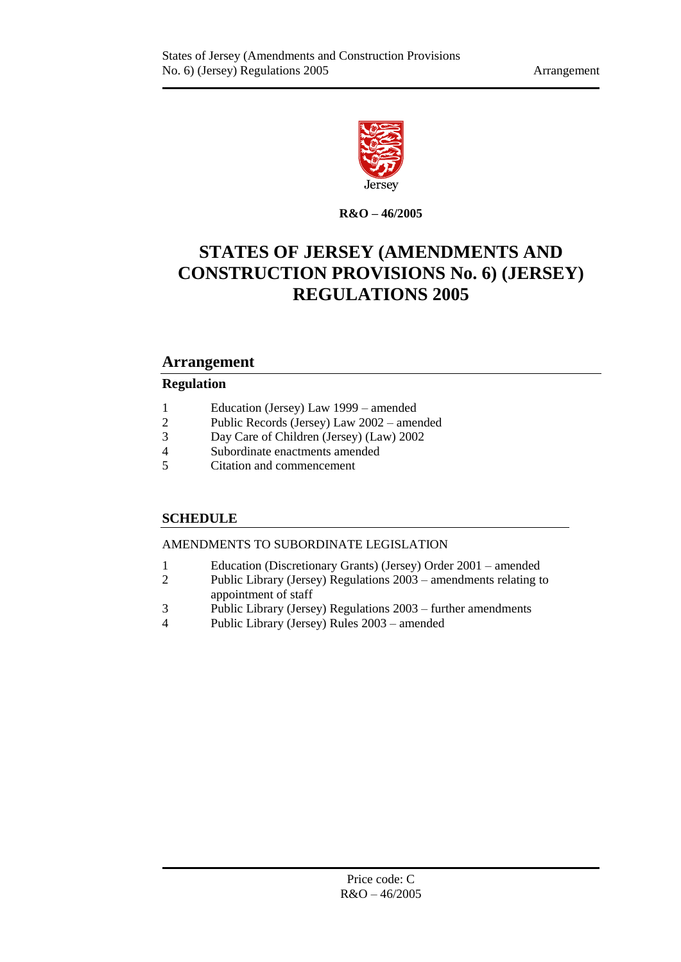

**R&O – 46/2005**

# **STATES OF JERSEY (AMENDMENTS AND CONSTRUCTION PROVISIONS No. 6) (JERSEY) REGULATIONS 2005**

# **Arrangement**

## **Regulation**

- 1 [Education \(Jersey\) Law](#page-2-0) 1999 amended<br>2 Public Records (Jersey) Law 2002 amer
- 2 [Public Records \(Jersey\) Law](#page-6-0) 2002 amended
- 3 [Day Care of Children \(Jersey\) \(Law\)](#page-7-0) 2002
- 4 [Subordinate enactments amended](#page-8-0)
- 5 [Citation and commencement](#page-8-1)

# **[SCHEDULE](#page-10-0)**

## [AMENDMENTS TO SUBORDINATE LEGISLATION](#page-10-1)

- 1 [Education \(Discretionary Grants\) \(Jersey\) Order](#page-10-2) 2001 amended
- 2 [Public Library \(Jersey\) Regulations](#page-11-0) 2003 amendments relating to [appointment of staff](#page-11-0)
- 3 [Public Library \(Jersey\) Regulations](#page-11-1) 2003 further amendments
- 4 [Public Library \(Jersey\) Rules](#page-12-0) 2003 amended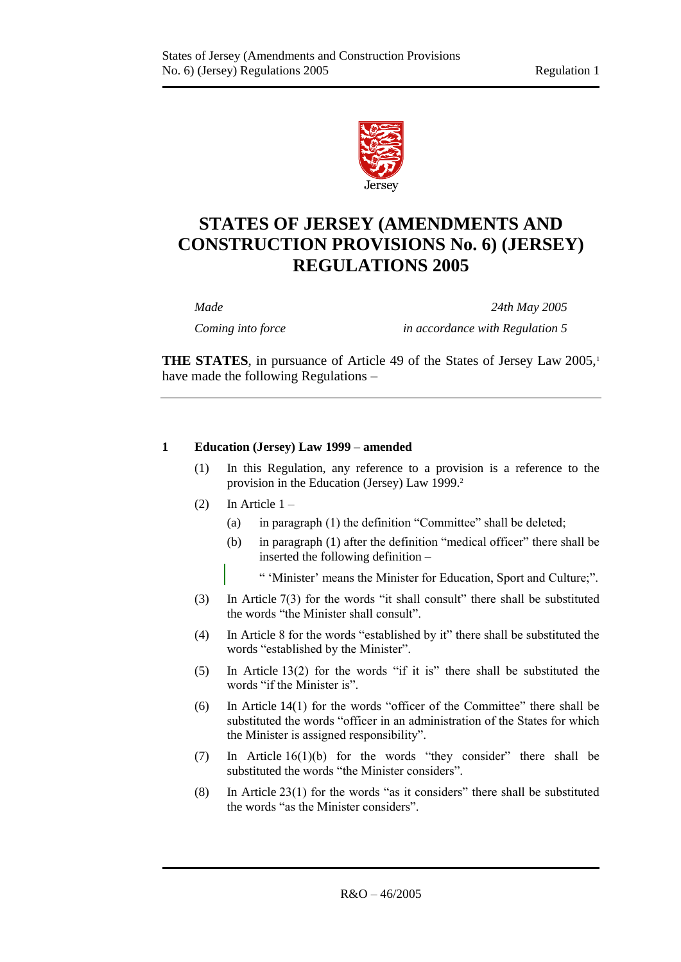

# **STATES OF JERSEY (AMENDMENTS AND CONSTRUCTION PROVISIONS No. 6) (JERSEY) REGULATIONS 2005**

*Made 24th May 2005*

*Coming into force in accordance with Regulation 5*

**THE STATES**, in pursuance of Article 49 of the States of Jersey Law 2005,<sup>1</sup> have made the following Regulations –

## <span id="page-2-0"></span>**1 Education (Jersey) Law 1999 – amended**

- (1) In this Regulation, any reference to a provision is a reference to the provision in the Education (Jersey) Law 1999. 2
- (2) In Article  $1 -$ 
	- (a) in paragraph (1) the definition "Committee" shall be deleted;
	- (b) in paragraph (1) after the definition "medical officer" there shall be inserted the following definition –
		- " 'Minister' means the Minister for Education, Sport and Culture;".
- (3) In Article 7(3) for the words "it shall consult" there shall be substituted the words "the Minister shall consult".
- (4) In Article 8 for the words "established by it" there shall be substituted the words "established by the Minister".
- (5) In Article 13(2) for the words "if it is" there shall be substituted the words "if the Minister is".
- (6) In Article 14(1) for the words "officer of the Committee" there shall be substituted the words "officer in an administration of the States for which the Minister is assigned responsibility".
- (7) In Article 16(1)(b) for the words "they consider" there shall be substituted the words "the Minister considers".
- (8) In Article 23(1) for the words "as it considers" there shall be substituted the words "as the Minister considers".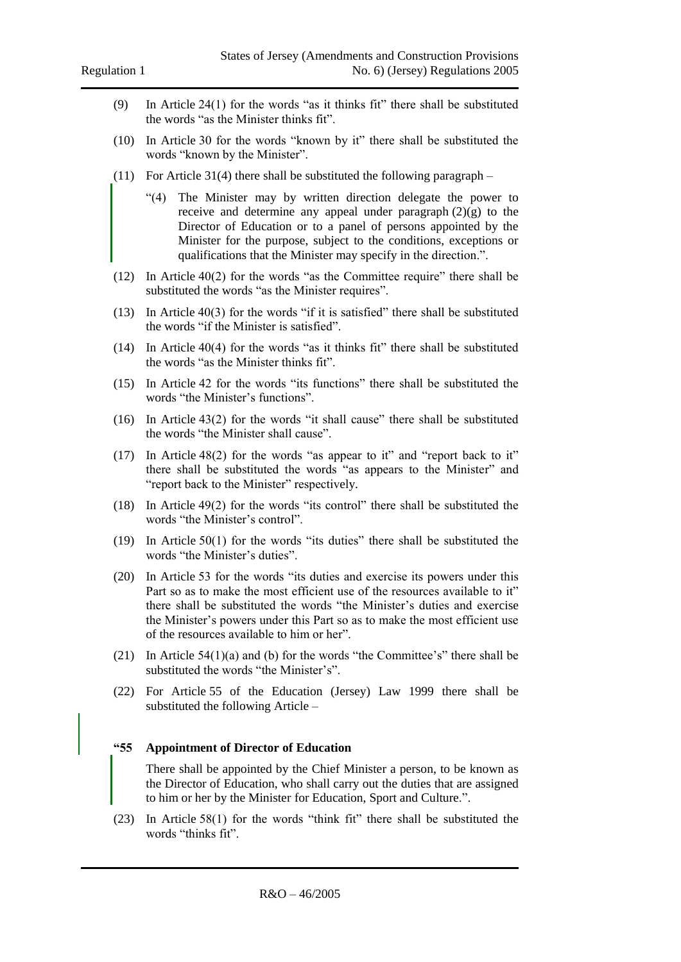- (9) In Article 24(1) for the words "as it thinks fit" there shall be substituted the words "as the Minister thinks fit".
- (10) In Article 30 for the words "known by it" there shall be substituted the words "known by the Minister".
- (11) For Article 31(4) there shall be substituted the following paragraph
	- "(4) The Minister may by written direction delegate the power to receive and determine any appeal under paragraph  $(2)(g)$  to the Director of Education or to a panel of persons appointed by the Minister for the purpose, subject to the conditions, exceptions or qualifications that the Minister may specify in the direction.".
- (12) In Article 40(2) for the words "as the Committee require" there shall be substituted the words "as the Minister requires".
- (13) In Article 40(3) for the words "if it is satisfied" there shall be substituted the words "if the Minister is satisfied".
- (14) In Article 40(4) for the words "as it thinks fit" there shall be substituted the words "as the Minister thinks fit".
- (15) In Article 42 for the words "its functions" there shall be substituted the words "the Minister's functions".
- (16) In Article 43(2) for the words "it shall cause" there shall be substituted the words "the Minister shall cause".
- (17) In Article 48(2) for the words "as appear to it" and "report back to it" there shall be substituted the words "as appears to the Minister" and "report back to the Minister" respectively.
- (18) In Article 49(2) for the words "its control" there shall be substituted the words "the Minister's control".
- (19) In Article 50(1) for the words "its duties" there shall be substituted the words "the Minister's duties".
- (20) In Article 53 for the words "its duties and exercise its powers under this Part so as to make the most efficient use of the resources available to it" there shall be substituted the words "the Minister's duties and exercise the Minister's powers under this Part so as to make the most efficient use of the resources available to him or her".
- (21) In Article 54(1)(a) and (b) for the words "the Committee's" there shall be substituted the words "the Minister's".
- (22) For Article 55 of the Education (Jersey) Law 1999 there shall be substituted the following Article –

#### **"55 Appointment of Director of Education**

There shall be appointed by the Chief Minister a person, to be known as the Director of Education, who shall carry out the duties that are assigned to him or her by the Minister for Education, Sport and Culture.".

(23) In Article 58(1) for the words "think fit" there shall be substituted the words "thinks fit".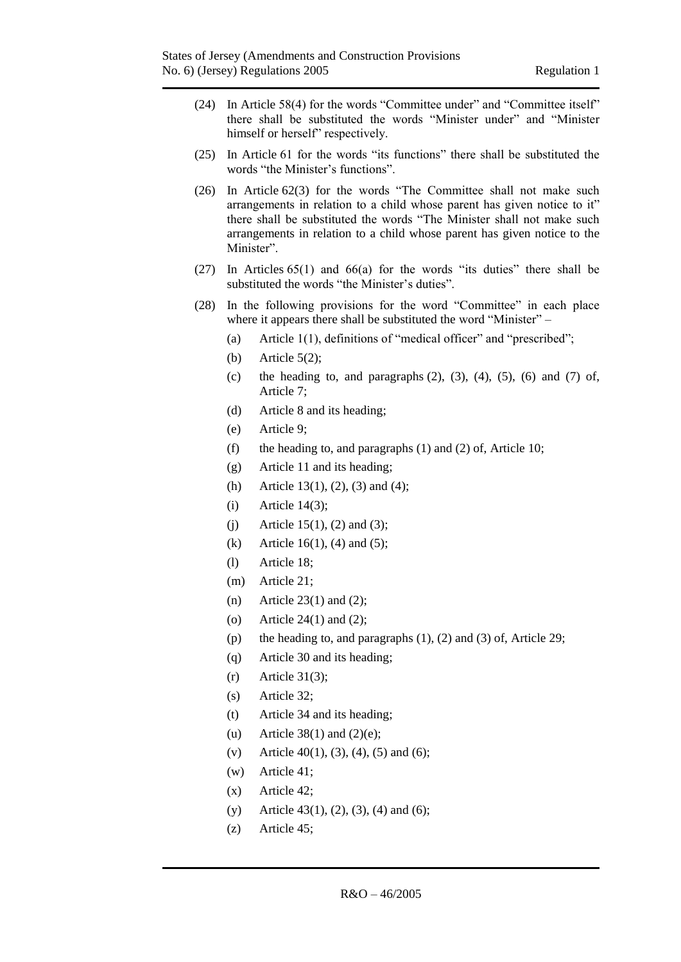- (24) In Article 58(4) for the words "Committee under" and "Committee itself" there shall be substituted the words "Minister under" and "Minister himself or herself" respectively.
- (25) In Article 61 for the words "its functions" there shall be substituted the words "the Minister's functions".
- (26) In Article 62(3) for the words "The Committee shall not make such arrangements in relation to a child whose parent has given notice to it" there shall be substituted the words "The Minister shall not make such arrangements in relation to a child whose parent has given notice to the Minister"
- (27) In Articles 65(1) and 66(a) for the words "its duties" there shall be substituted the words "the Minister's duties".
- (28) In the following provisions for the word "Committee" in each place where it appears there shall be substituted the word "Minister" –
	- (a) Article 1(1), definitions of "medical officer" and "prescribed";
	- (b) Article 5(2);
	- (c) the heading to, and paragraphs  $(2)$ ,  $(3)$ ,  $(4)$ ,  $(5)$ ,  $(6)$  and  $(7)$  of, Article 7;
	- (d) Article 8 and its heading;
	- (e) Article 9;
	- (f) the heading to, and paragraphs (1) and (2) of, Article 10;
	- (g) Article 11 and its heading;
	- (h) Article 13(1), (2), (3) and (4);
	- (i) Article 14(3);
	- (i) Article 15(1), (2) and (3);
	- (k) Article 16(1), (4) and (5);
	- (l) Article 18;
	- (m) Article 21;
	- (n) Article 23(1) and (2);
	- (o) Article 24(1) and (2);
	- (p) the heading to, and paragraphs  $(1)$ ,  $(2)$  and  $(3)$  of, Article 29;
	- (q) Article 30 and its heading;
	- $(r)$  Article 31(3);
	- (s) Article 32;
	- (t) Article 34 and its heading;
	- (u) Article  $38(1)$  and  $(2)(e)$ ;
	- (v) Article 40(1), (3), (4), (5) and (6);
	- (w) Article 41;
	- (x) Article 42;
	- (y) Article 43(1), (2), (3), (4) and (6);
	- (z) Article 45;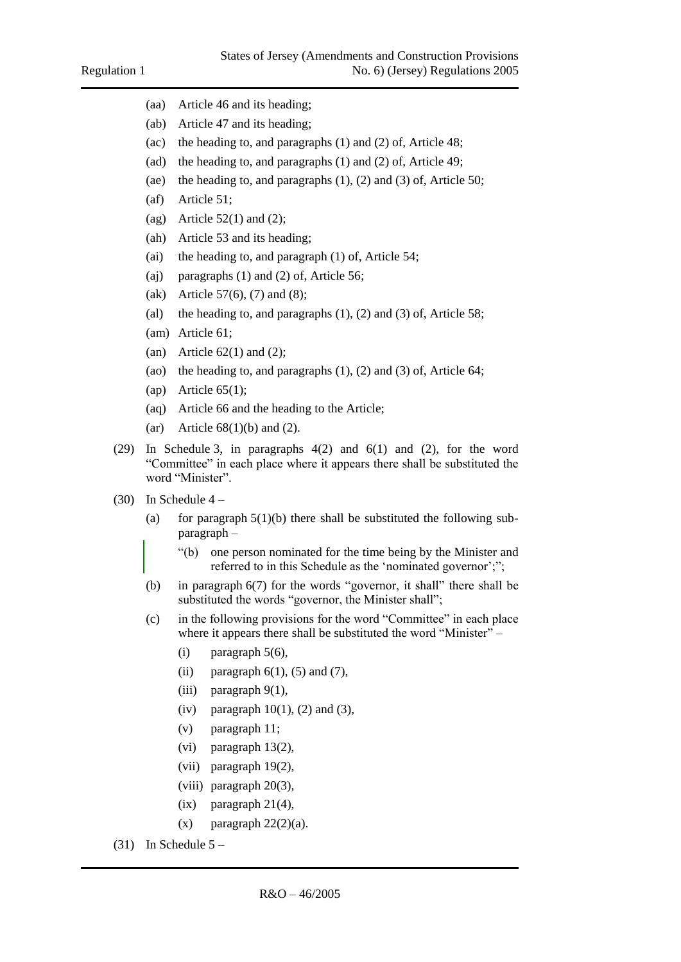- (aa) Article 46 and its heading;
- (ab) Article 47 and its heading;
- (ac) the heading to, and paragraphs (1) and (2) of, Article 48;
- (ad) the heading to, and paragraphs (1) and (2) of, Article 49;
- (ae) the heading to, and paragraphs (1), (2) and (3) of, Article 50;
- (af) Article 51;
- (ag) Article  $52(1)$  and (2);
- (ah) Article 53 and its heading;
- (ai) the heading to, and paragraph (1) of, Article 54;
- (aj) paragraphs (1) and (2) of, Article 56;
- (ak) Article 57(6), (7) and (8);
- (al) the heading to, and paragraphs  $(1)$ ,  $(2)$  and  $(3)$  of, Article 58;
- (am) Article 61;
- (an) Article  $62(1)$  and  $(2)$ ;
- (ao) the heading to, and paragraphs (1), (2) and (3) of, Article 64;
- (ap) Article  $65(1)$ ;
- (aq) Article 66 and the heading to the Article;
- (ar) Article  $68(1)(b)$  and  $(2)$ .
- (29) In Schedule 3, in paragraphs 4(2) and 6(1) and (2), for the word "Committee" in each place where it appears there shall be substituted the word "Minister".
- $(30)$  In Schedule 4
	- (a) for paragraph  $5(1)(b)$  there shall be substituted the following subparagraph –
		- "(b) one person nominated for the time being by the Minister and referred to in this Schedule as the 'nominated governor';";
	- (b) in paragraph 6(7) for the words "governor, it shall" there shall be substituted the words "governor, the Minister shall";
	- (c) in the following provisions for the word "Committee" in each place where it appears there shall be substituted the word "Minister" –
		- (i) paragraph  $5(6)$ ,
		- (ii) paragraph  $6(1)$ ,  $(5)$  and  $(7)$ ,
		- (iii) paragraph 9(1),
		- (iv) paragraph  $10(1)$ , (2) and (3),
		- (v) paragraph 11;
		- (vi) paragraph 13(2),
		- (vii) paragraph 19(2),
		- (viii) paragraph 20(3),
		- $(ix)$  paragraph 21(4),
		- $(x)$  paragraph  $22(2)(a)$ .
- $(31)$  In Schedule  $5 -$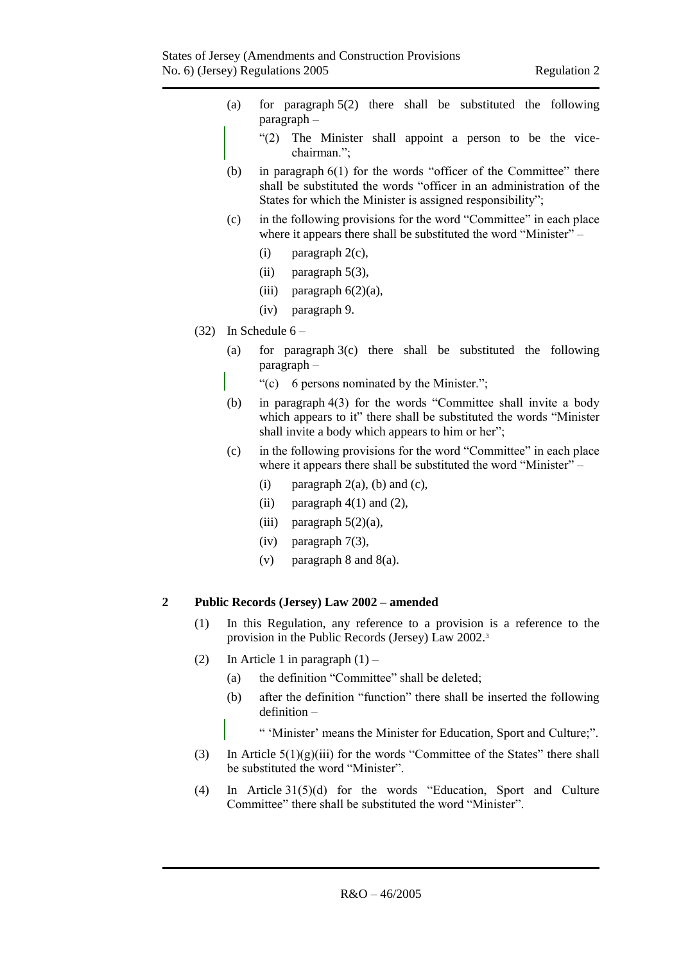- (a) for paragraph 5(2) there shall be substituted the following paragraph –
	- "(2) The Minister shall appoint a person to be the vicechairman.";
- (b) in paragraph 6(1) for the words "officer of the Committee" there shall be substituted the words "officer in an administration of the States for which the Minister is assigned responsibility";
- (c) in the following provisions for the word "Committee" in each place where it appears there shall be substituted the word "Minister" –
	- (i) paragraph 2(c),
	- (ii) paragraph 5(3),
	- (iii) paragraph  $6(2)(a)$ ,
	- (iv) paragraph 9.
- (32) In Schedule  $6 -$ 
	- (a) for paragraph 3(c) there shall be substituted the following paragraph –
		- "(c) 6 persons nominated by the Minister.";
	- (b) in paragraph 4(3) for the words "Committee shall invite a body which appears to it" there shall be substituted the words "Minister" shall invite a body which appears to him or her";
	- (c) in the following provisions for the word "Committee" in each place where it appears there shall be substituted the word "Minister" –
		- (i) paragraph  $2(a)$ , (b) and (c),
		- (ii) paragraph  $4(1)$  and  $(2)$ ,
		- (iii) paragraph  $5(2)(a)$ ,
		- (iv) paragraph 7(3),
		- (v) paragraph  $8$  and  $8(a)$ .

#### <span id="page-6-0"></span>**2 Public Records (Jersey) Law 2002 – amended**

- (1) In this Regulation, any reference to a provision is a reference to the provision in the Public Records (Jersey) Law 2002. 3
- (2) In Article 1 in paragraph  $(1)$ 
	- (a) the definition "Committee" shall be deleted;
	- (b) after the definition "function" there shall be inserted the following definition –
		- " 'Minister' means the Minister for Education, Sport and Culture;".
- (3) In Article  $5(1)(g)(iii)$  for the words "Committee of the States" there shall be substituted the word "Minister".
- (4) In Article 31(5)(d) for the words "Education, Sport and Culture Committee" there shall be substituted the word "Minister".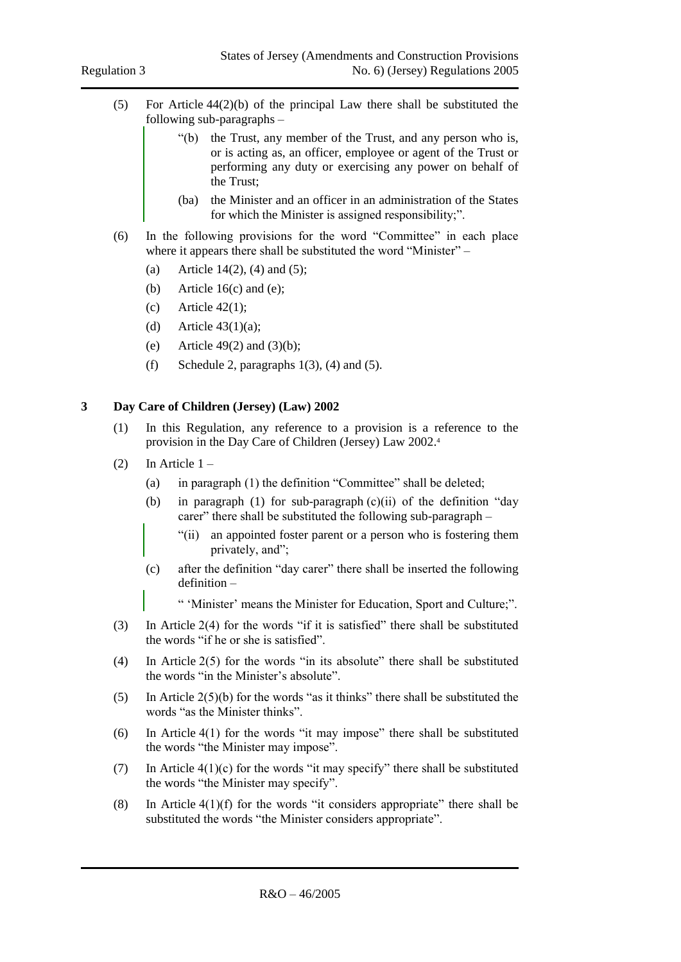- (5) For Article 44(2)(b) of the principal Law there shall be substituted the following sub-paragraphs –
	- "(b) the Trust, any member of the Trust, and any person who is, or is acting as, an officer, employee or agent of the Trust or performing any duty or exercising any power on behalf of the Trust;
	- (ba) the Minister and an officer in an administration of the States for which the Minister is assigned responsibility;".
- (6) In the following provisions for the word "Committee" in each place where it appears there shall be substituted the word "Minister" –
	- (a) Article 14(2), (4) and (5):
	- (b) Article  $16(c)$  and (e);
	- (c) Article  $42(1)$ ;
	- (d) Article  $43(1)(a)$ ;
	- (e) Article 49(2) and  $(3)(b)$ ;
	- (f) Schedule 2, paragraphs  $1(3)$ , (4) and (5).

## <span id="page-7-0"></span>**3 Day Care of Children (Jersey) (Law) 2002**

- (1) In this Regulation, any reference to a provision is a reference to the provision in the Day Care of Children (Jersey) Law 2002. 4
- (2) In Article  $1 -$ 
	- (a) in paragraph (1) the definition "Committee" shall be deleted;
	- (b) in paragraph (1) for sub-paragraph  $(c)(ii)$  of the definition "day carer" there shall be substituted the following sub-paragraph –
		- "(ii) an appointed foster parent or a person who is fostering them privately, and";
	- (c) after the definition "day carer" there shall be inserted the following definition –

" 'Minister' means the Minister for Education, Sport and Culture;".

- (3) In Article 2(4) for the words "if it is satisfied" there shall be substituted the words "if he or she is satisfied".
- (4) In Article 2(5) for the words "in its absolute" there shall be substituted the words "in the Minister's absolute".
- (5) In Article  $2(5)(b)$  for the words "as it thinks" there shall be substituted the words "as the Minister thinks".
- (6) In Article 4(1) for the words "it may impose" there shall be substituted the words "the Minister may impose".
- (7) In Article  $4(1)(c)$  for the words "it may specify" there shall be substituted the words "the Minister may specify".
- (8) In Article  $4(1)(f)$  for the words "it considers appropriate" there shall be substituted the words "the Minister considers appropriate".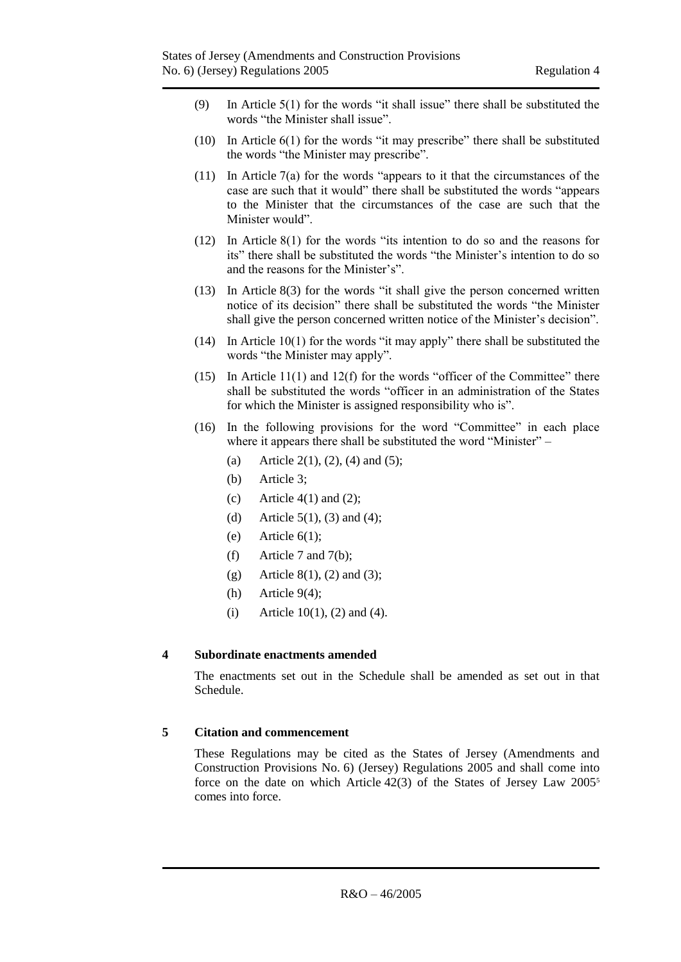- (9) In Article 5(1) for the words "it shall issue" there shall be substituted the words "the Minister shall issue".
- (10) In Article 6(1) for the words "it may prescribe" there shall be substituted the words "the Minister may prescribe".
- (11) In Article 7(a) for the words "appears to it that the circumstances of the case are such that it would" there shall be substituted the words "appears to the Minister that the circumstances of the case are such that the Minister would".
- (12) In Article 8(1) for the words "its intention to do so and the reasons for its" there shall be substituted the words "the Minister's intention to do so and the reasons for the Minister's".
- (13) In Article 8(3) for the words "it shall give the person concerned written notice of its decision" there shall be substituted the words "the Minister shall give the person concerned written notice of the Minister's decision".
- (14) In Article 10(1) for the words "it may apply" there shall be substituted the words "the Minister may apply".
- (15) In Article 11(1) and 12(f) for the words "officer of the Committee" there shall be substituted the words "officer in an administration of the States for which the Minister is assigned responsibility who is".
- (16) In the following provisions for the word "Committee" in each place where it appears there shall be substituted the word "Minister" –
	- (a) Article 2(1), (2), (4) and (5);
	- (b) Article 3;
	- (c) Article  $4(1)$  and  $(2)$ ;
	- (d) Article  $5(1)$ ,  $(3)$  and  $(4)$ ;
	- (e) Article  $6(1)$ ;
	- (f) Article 7 and 7(b);
	- (g) Article 8(1), (2) and (3);
	- (h) Article  $9(4)$ ;
	- (i) Article 10(1), (2) and (4).

#### <span id="page-8-0"></span>**4 Subordinate enactments amended**

The enactments set out in the Schedule shall be amended as set out in that Schedule.

#### <span id="page-8-1"></span>**5 Citation and commencement**

These Regulations may be cited as the States of Jersey (Amendments and Construction Provisions No. 6) (Jersey) Regulations 2005 and shall come into force on the date on which Article  $42(3)$  of the States of Jersey Law  $2005<sup>5</sup>$ comes into force.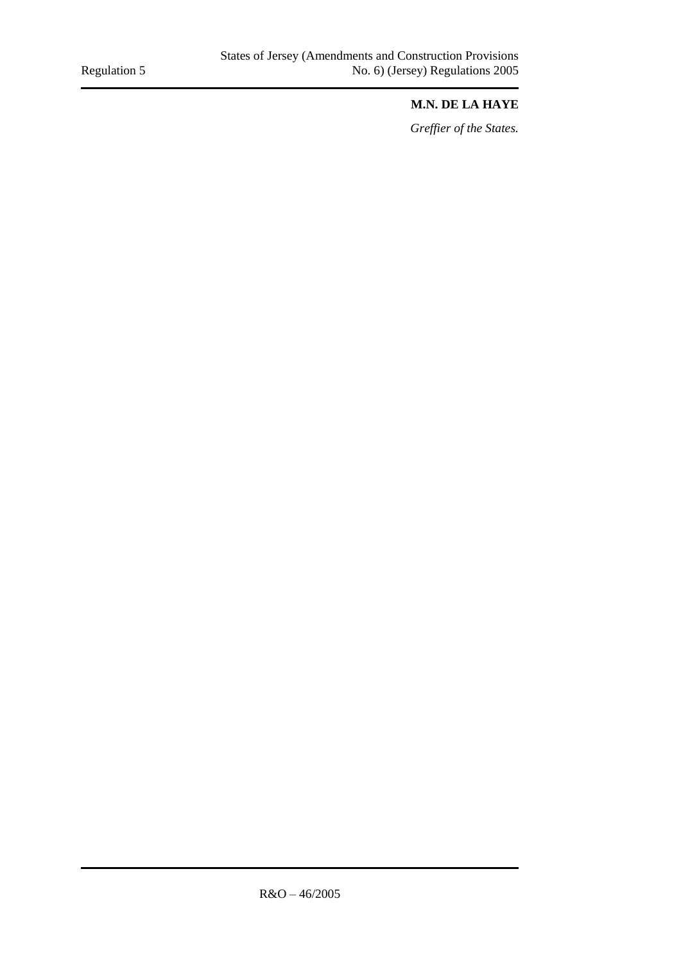## **M.N. DE LA HAYE**

*Greffier of the States.*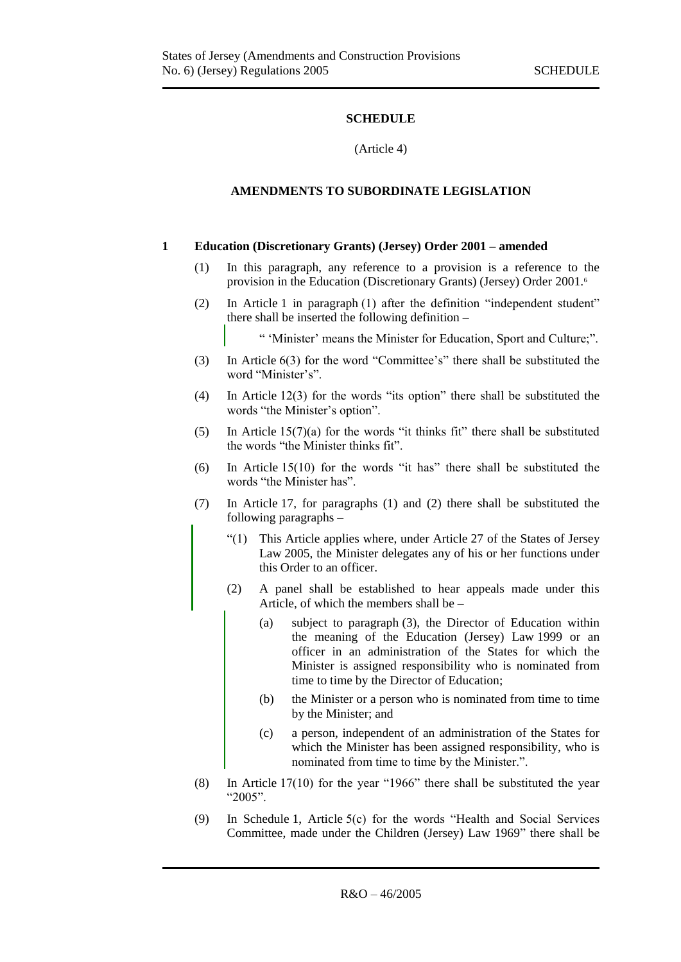## **SCHEDULE**

#### (Article 4)

## <span id="page-10-0"></span>**AMENDMENTS TO SUBORDINATE LEGISLATION**

#### <span id="page-10-2"></span><span id="page-10-1"></span>**1 Education (Discretionary Grants) (Jersey) Order 2001 – amended**

- (1) In this paragraph, any reference to a provision is a reference to the provision in the Education (Discretionary Grants) (Jersey) Order 2001. 6
- (2) In Article 1 in paragraph (1) after the definition "independent student" there shall be inserted the following definition –
	- " 'Minister' means the Minister for Education, Sport and Culture;".
- (3) In Article 6(3) for the word "Committee's" there shall be substituted the word "Minister's".
- (4) In Article 12(3) for the words "its option" there shall be substituted the words "the Minister's option".
- (5) In Article  $15(7)(a)$  for the words "it thinks fit" there shall be substituted the words "the Minister thinks fit".
- (6) In Article 15(10) for the words "it has" there shall be substituted the words "the Minister has".
- (7) In Article 17, for paragraphs (1) and (2) there shall be substituted the following paragraphs –
	- "(1) This Article applies where, under Article 27 of the States of Jersey Law 2005, the Minister delegates any of his or her functions under this Order to an officer.
	- (2) A panel shall be established to hear appeals made under this Article, of which the members shall be –
		- (a) subject to paragraph (3), the Director of Education within the meaning of the Education (Jersey) Law 1999 or an officer in an administration of the States for which the Minister is assigned responsibility who is nominated from time to time by the Director of Education;
		- (b) the Minister or a person who is nominated from time to time by the Minister; and
		- (c) a person, independent of an administration of the States for which the Minister has been assigned responsibility, who is nominated from time to time by the Minister.".
- (8) In Article 17(10) for the year "1966" there shall be substituted the year "2005".
- (9) In Schedule 1, Article 5(c) for the words "Health and Social Services Committee, made under the Children (Jersey) Law 1969" there shall be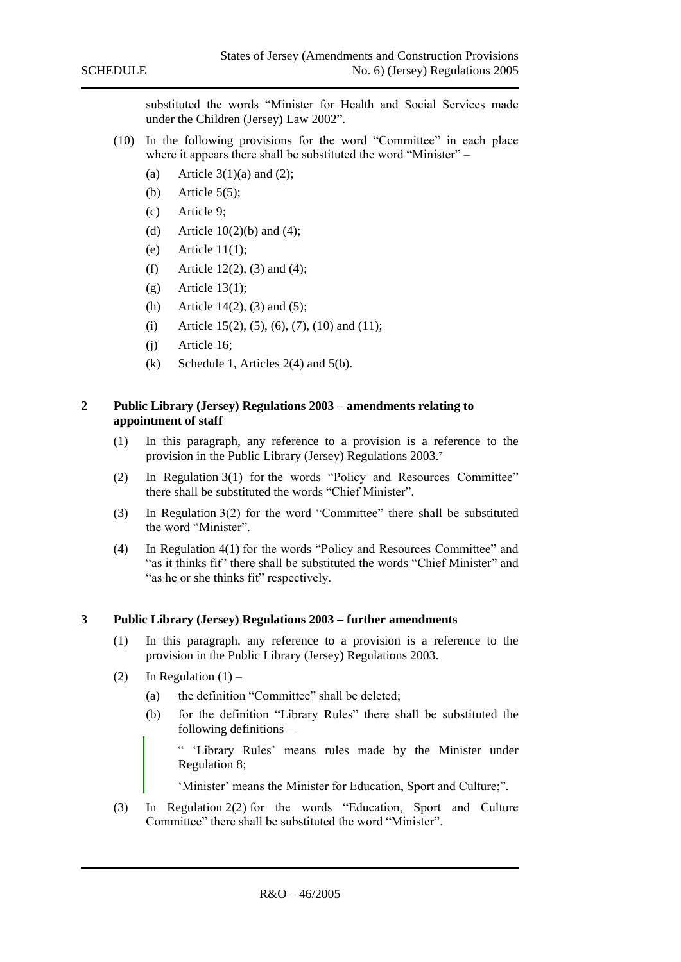substituted the words "Minister for Health and Social Services made under the Children (Jersey) Law 2002".

- (10) In the following provisions for the word "Committee" in each place where it appears there shall be substituted the word "Minister" –
	- (a) Article  $3(1)(a)$  and (2);
	- (b) Article  $5(5)$ ;
	- (c) Article 9;
	- (d) Article  $10(2)(b)$  and (4);
	- $(e)$  Article 11(1):
	- (f) Article 12(2), (3) and (4);
	- $(g)$  Article 13(1);
	- (h) Article 14(2), (3) and (5);
	- (i) Article 15(2), (5), (6), (7), (10) and (11);
	- (j) Article 16;
	- (k) Schedule 1, Articles  $2(4)$  and  $5(b)$ .

#### <span id="page-11-0"></span>**2 Public Library (Jersey) Regulations 2003 – amendments relating to appointment of staff**

- (1) In this paragraph, any reference to a provision is a reference to the provision in the Public Library (Jersey) Regulations 2003.<sup>7</sup>
- (2) In Regulation 3(1) for the words "Policy and Resources Committee" there shall be substituted the words "Chief Minister".
- (3) In Regulation 3(2) for the word "Committee" there shall be substituted the word "Minister".
- (4) In Regulation 4(1) for the words "Policy and Resources Committee" and "as it thinks fit" there shall be substituted the words "Chief Minister" and "as he or she thinks fit" respectively.

#### <span id="page-11-1"></span>**3 Public Library (Jersey) Regulations 2003 – further amendments**

- (1) In this paragraph, any reference to a provision is a reference to the provision in the Public Library (Jersey) Regulations 2003.
- (2) In Regulation  $(1)$ 
	- (a) the definition "Committee" shall be deleted;
	- (b) for the definition "Library Rules" there shall be substituted the following definitions –

" 'Library Rules' means rules made by the Minister under Regulation 8;

'Minister' means the Minister for Education, Sport and Culture;".

(3) In Regulation 2(2) for the words "Education, Sport and Culture Committee" there shall be substituted the word "Minister".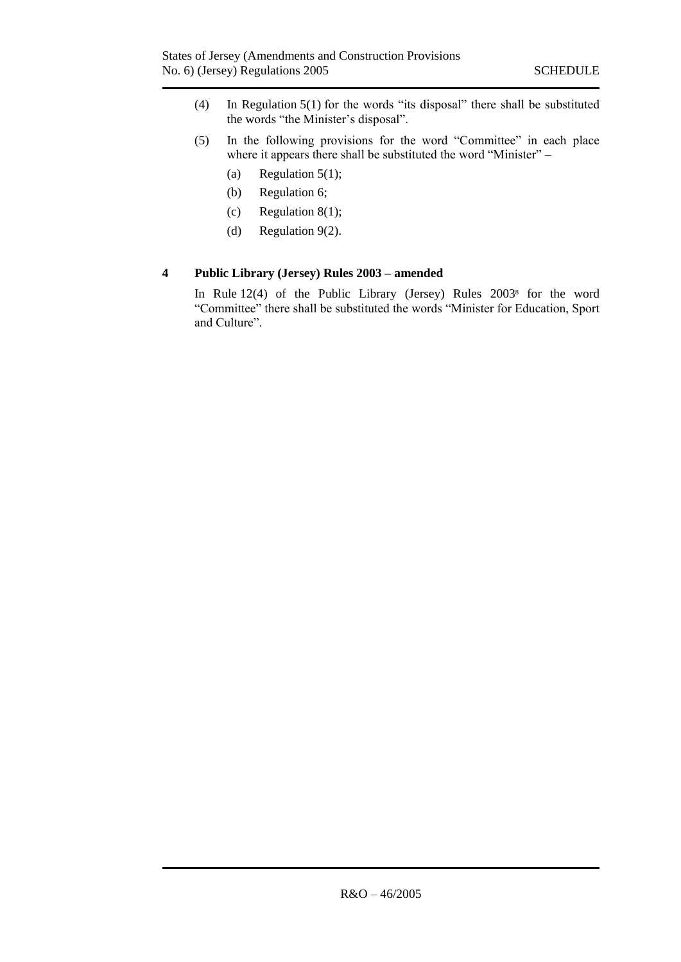- (4) In Regulation 5(1) for the words "its disposal" there shall be substituted the words "the Minister's disposal".
- (5) In the following provisions for the word "Committee" in each place where it appears there shall be substituted the word "Minister" –
	- (a) Regulation  $5(1)$ ;
	- (b) Regulation 6;
	- (c) Regulation 8(1);
	- (d) Regulation 9(2).

## <span id="page-12-0"></span>**4 Public Library (Jersey) Rules 2003 – amended**

In Rule 12(4) of the Public Library (Jersey) Rules 2003<sup>8</sup> for the word "Committee" there shall be substituted the words "Minister for Education, Sport and Culture".